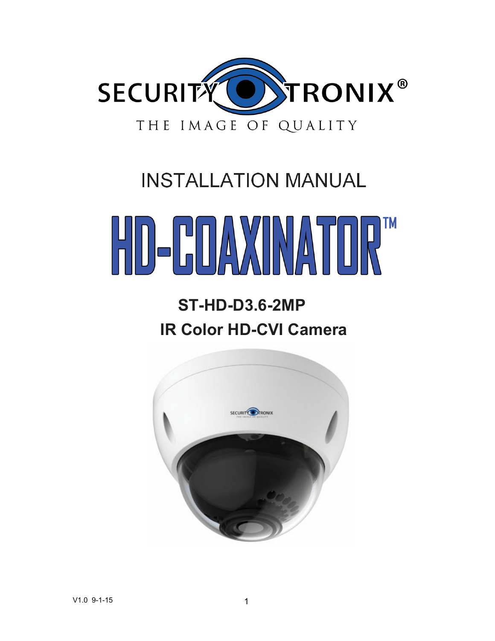

# **INSTALLATION MANUAL**

# HD-COAXINATOR" I TM

# **ST-HD-D3.6-2MP IR Color HD-CVI Camera**

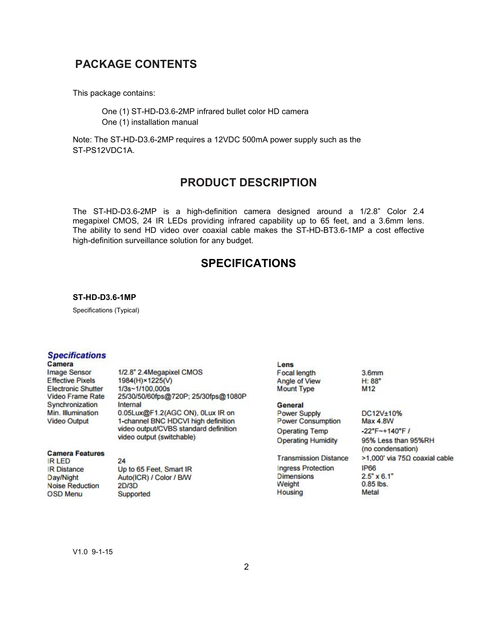## **PACKAGE CONTENTS**

This package contains:

One (1) ST-HD-D3.6-2MP infrared bullet color HD camera One (1) installation manual

Note: The ST-HD-D3.6-2MP requires a 12VDC 500mA power supply such as the ST-PS12VDC1A.

### **PRODUCT DESCRIPTION**

The ST-HD-D3.6-2MP is a high-definition camera designed around a 1/2.8" Color 2.4 megapixel CMOS, 24 IR LEDs providing infrared capability up to 65 feet, and a 3.6mm lens. The ability to send HD video over coaxial cable makes the ST-HD-BT3.6-1MP a cost effective high-definition surveillance solution for any budget.

## **SPECIFICATIONS**

#### **ST-HD-D3.6-1MP**

Specifications (Typical)

#### **Specifications**

Camera **Image Sensor Effective Pixels Electronic Shutter** Video Frame Rate Synchronization Min. Illumination **Video Output** 

1/2.8" 2.4Megapixel CMOS 1984(H)×1225(V) 1/3s~1/100,000s 25/30/50/60fps@720P; 25/30fps@1080P Internal 0.05Lux@F1.2(AGC ON), 0Lux IR on 1-channel BNC HDCVI high definition video output/CVBS standard definition video output (switchable)

#### **Camera Features**

**R LED IR Distance** Day/Night **Noise Reduction OSD Menu** 

24

Up to 65 Feet, Smart IR Auto(ICR) / Color / B/W  $2D/3D$ Supported

#### Lens Focal length

Angle of View **Mount Type** 

#### **General**

Power Supply Power Consumption **Operating Temp Operating Humidity** 

**Transmission Distance Ingress Protection Dimensions** Weight **Housing** 

 $3.6<sub>mm</sub>$  $H:88^\circ$ M<sub>12</sub>

DC12V±10% **Max 4.8W**  $-22^{\circ}F - 140^{\circ}F$  / 95% Less than 95%RH (no condensation)  $>1.000$ ' via 75Ω coaxial cable **IP66**  $2.5" \times 6.1"$  $0.85$  lbs. Metal

V1.0 9-1-15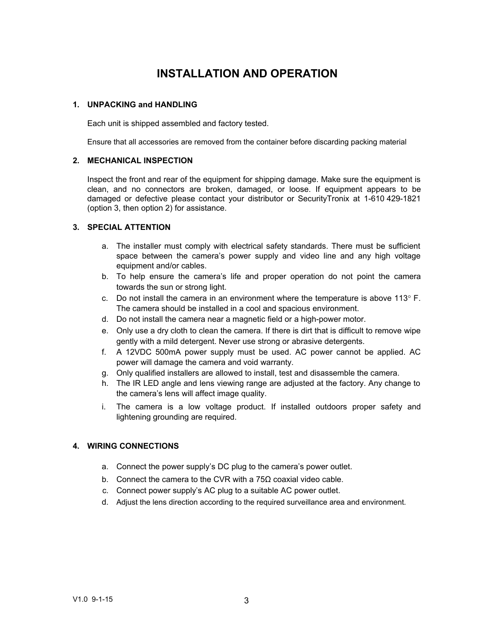# **INSTALLATION AND OPERATION**

#### **1. UNPACKING and HANDLING**

Each unit is shipped assembled and factory tested.

Ensure that all accessories are removed from the container before discarding packing material

#### **2. MECHANICAL INSPECTION**

Inspect the front and rear of the equipment for shipping damage. Make sure the equipment is clean, and no connectors are broken, damaged, or loose. If equipment appears to be damaged or defective please contact your distributor or SecurityTronix at 1-610 429-1821 (option 3, then option 2) for assistance.

#### **3. SPECIAL ATTENTION**

- a. The installer must comply with electrical safety standards. There must be sufficient space between the camera's power supply and video line and any high voltage equipment and/or cables.
- b. To help ensure the camera's life and proper operation do not point the camera towards the sun or strong light.
- c. Do not install the camera in an environment where the temperature is above 113 $^{\circ}$  F. The camera should be installed in a cool and spacious environment.
- d. Do not install the camera near a magnetic field or a high-power motor.
- e. Only use a dry cloth to clean the camera. If there is dirt that is difficult to remove wipe gently with a mild detergent. Never use strong or abrasive detergents.
- f. A 12VDC 500mA power supply must be used. AC power cannot be applied. AC power will damage the camera and void warranty.
- g. Only qualified installers are allowed to install, test and disassemble the camera.
- h. The IR LED angle and lens viewing range are adjusted at the factory. Any change to the camera's lens will affect image quality.
- i. The camera is a low voltage product. If installed outdoors proper safety and lightening grounding are required.

#### **4. WIRING CONNECTIONS**

- a. Connect the power supply's DC plug to the camera's power outlet.
- b. Connect the camera to the CVR with a 750 coaxial video cable.
- c. Connect power supply's AC plug to a suitable AC power outlet.
- d. Adjust the lens direction according to the required surveillance area and environment.